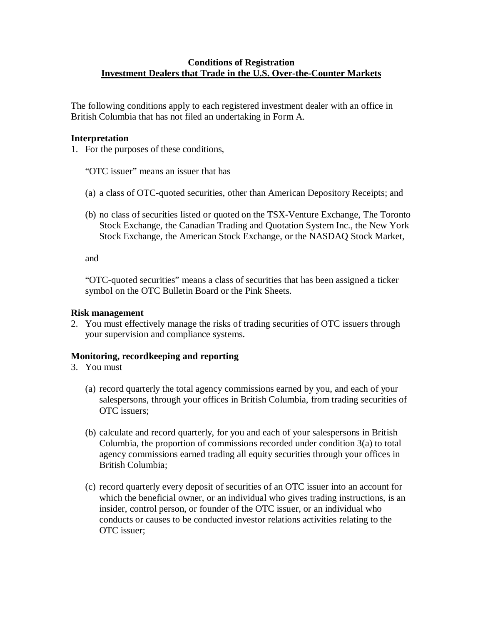## **Conditions of Registration Investment Dealers that Trade in the U.S. Over-the-Counter Markets**

The following conditions apply to each registered investment dealer with an office in British Columbia that has not filed an undertaking in Form A.

### **Interpretation**

1. For the purposes of these conditions,

"OTC issuer" means an issuer that has

- (a) a class of OTC-quoted securities, other than American Depository Receipts; and
- (b) no class of securities listed or quoted on the TSX-Venture Exchange, The Toronto Stock Exchange, the Canadian Trading and Quotation System Inc., the New York Stock Exchange, the American Stock Exchange, or the NASDAQ Stock Market,

and

"OTC-quoted securities" means a class of securities that has been assigned a ticker symbol on the OTC Bulletin Board or the Pink Sheets.

#### **Risk management**

2. You must effectively manage the risks of trading securities of OTC issuers through your supervision and compliance systems.

### **Monitoring, recordkeeping and reporting**

- 3. You must
	- (a) record quarterly the total agency commissions earned by you, and each of your salespersons, through your offices in British Columbia, from trading securities of OTC issuers;
	- (b) calculate and record quarterly, for you and each of your salespersons in British Columbia, the proportion of commissions recorded under condition 3(a) to total agency commissions earned trading all equity securities through your offices in British Columbia;
	- (c) record quarterly every deposit of securities of an OTC issuer into an account for which the beneficial owner, or an individual who gives trading instructions, is an insider, control person, or founder of the OTC issuer, or an individual who conducts or causes to be conducted investor relations activities relating to the OTC issuer;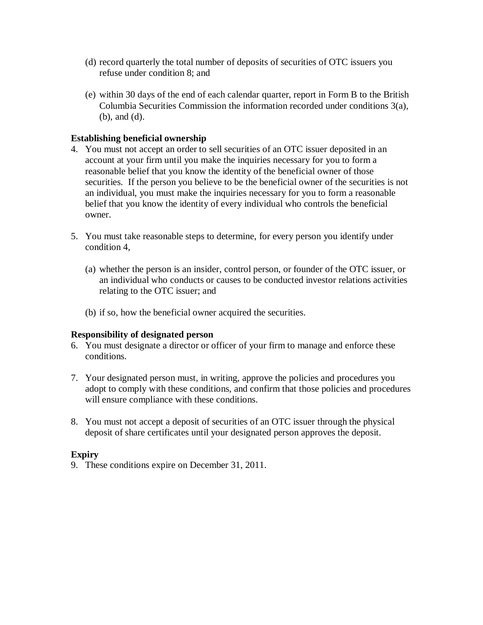- (d) record quarterly the total number of deposits of securities of OTC issuers you refuse under condition 8; and
- (e) within 30 days of the end of each calendar quarter, report in Form B to the British Columbia Securities Commission the information recorded under conditions 3(a), (b), and (d).

# **Establishing beneficial ownership**

- 4. You must not accept an order to sell securities of an OTC issuer deposited in an account at your firm until you make the inquiries necessary for you to form a reasonable belief that you know the identity of the beneficial owner of those securities. If the person you believe to be the beneficial owner of the securities is not an individual, you must make the inquiries necessary for you to form a reasonable belief that you know the identity of every individual who controls the beneficial owner.
- 5. You must take reasonable steps to determine, for every person you identify under condition 4,
	- (a) whether the person is an insider, control person, or founder of the OTC issuer, or an individual who conducts or causes to be conducted investor relations activities relating to the OTC issuer; and
	- (b) if so, how the beneficial owner acquired the securities.

### **Responsibility of designated person**

- 6. You must designate a director or officer of your firm to manage and enforce these conditions.
- 7. Your designated person must, in writing, approve the policies and procedures you adopt to comply with these conditions, and confirm that those policies and procedures will ensure compliance with these conditions.
- 8. You must not accept a deposit of securities of an OTC issuer through the physical deposit of share certificates until your designated person approves the deposit.

### **Expiry**

9. These conditions expire on December 31, 2011.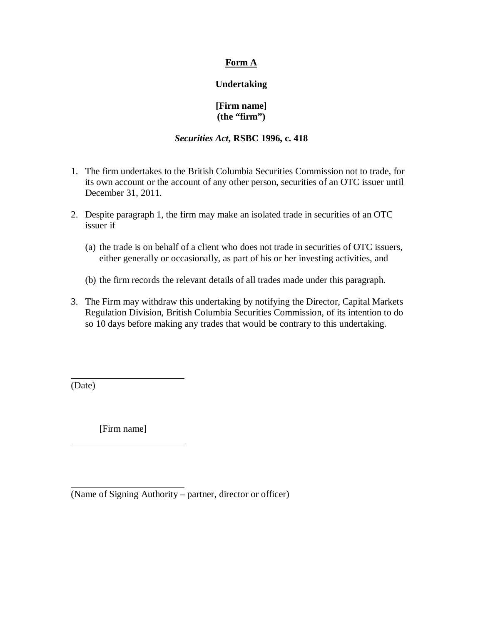# **Form A**

# **Undertaking**

# **[Firm name] (the "firm")**

#### *Securities Act***, RSBC 1996, c. 418**

- 1. The firm undertakes to the British Columbia Securities Commission not to trade, for its own account or the account of any other person, securities of an OTC issuer until December 31, 2011.
- 2. Despite paragraph 1, the firm may make an isolated trade in securities of an OTC issuer if
	- (a) the trade is on behalf of a client who does not trade in securities of OTC issuers, either generally or occasionally, as part of his or her investing activities, and
	- (b) the firm records the relevant details of all trades made under this paragraph.
- 3. The Firm may withdraw this undertaking by notifying the Director, Capital Markets Regulation Division, British Columbia Securities Commission, of its intention to do so 10 days before making any trades that would be contrary to this undertaking.

(Date)

 $\overline{a}$ 

 $\overline{a}$ 

 $\overline{a}$ 

[Firm name]

<sup>(</sup>Name of Signing Authority – partner, director or officer)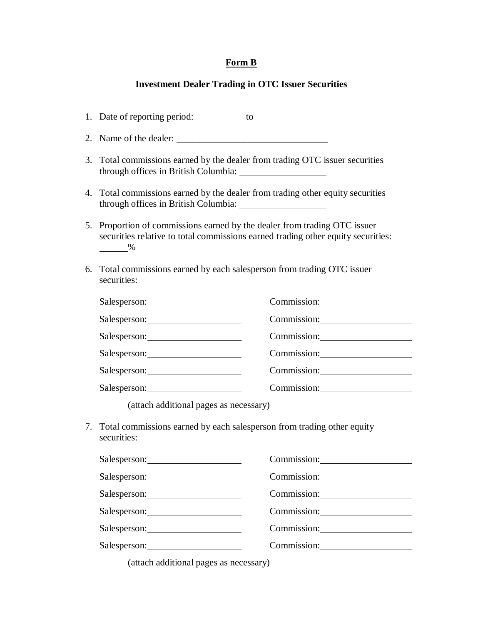# **Form B**

# **Investment Dealer Trading in OTC Issuer Securities**

| 2. |                                                                                                                                                                                                                                |                                  |  |
|----|--------------------------------------------------------------------------------------------------------------------------------------------------------------------------------------------------------------------------------|----------------------------------|--|
| 3. | Total commissions earned by the dealer from trading OTC issuer securities                                                                                                                                                      |                                  |  |
| 4. | Total commissions earned by the dealer from trading other equity securities                                                                                                                                                    |                                  |  |
| 5. | Proportion of commissions earned by the dealer from trading OTC issuer<br>securities relative to total commissions earned trading other equity securities:<br>$\frac{9}{6}$                                                    |                                  |  |
| 6. | Total commissions earned by each salesperson from trading OTC issuer<br>securities:                                                                                                                                            |                                  |  |
|    | Salesperson: 2000                                                                                                                                                                                                              | Commission: Commission:          |  |
|    |                                                                                                                                                                                                                                | Commission: New York Commission: |  |
|    | Salesperson:                                                                                                                                                                                                                   |                                  |  |
|    | Salesperson:                                                                                                                                                                                                                   | Commission: Commission:          |  |
|    | Salesperson: 2000 and 2000 and 2000 and 2000 and 2000 and 2000 and 2000 and 2000 and 2000 and 2000 and 2000 and 2000 and 2000 and 2000 and 2000 and 2000 and 2000 and 2000 and 2000 and 2000 and 2000 and 2000 and 2000 and 20 | Commission:                      |  |
|    | Salesperson: 1997                                                                                                                                                                                                              | Commission: 2000                 |  |
|    | (attach additional pages as necessary)                                                                                                                                                                                         |                                  |  |
| 7. | Total commissions earned by each salesperson from trading other equity<br>securities:                                                                                                                                          |                                  |  |
|    | Salesperson: 1999 and 2009 and 2009 and 2009 and 2009 and 2009 and 2009 and 2009 and 2009 and 2009 and 2009 and 2009 and 2009 and 2009 and 2009 and 2009 and 2009 and 2009 and 2009 and 2009 and 2009 and 2009 and 2009 and 20 | Commission: Commission:          |  |
|    |                                                                                                                                                                                                                                | Commission: 2000                 |  |
|    |                                                                                                                                                                                                                                |                                  |  |
|    | Salesperson: 2000                                                                                                                                                                                                              | Commission:                      |  |

Salesperson: Commission: Commission:

Salesperson: Commission: Commission:

(attach additional pages as necessary)